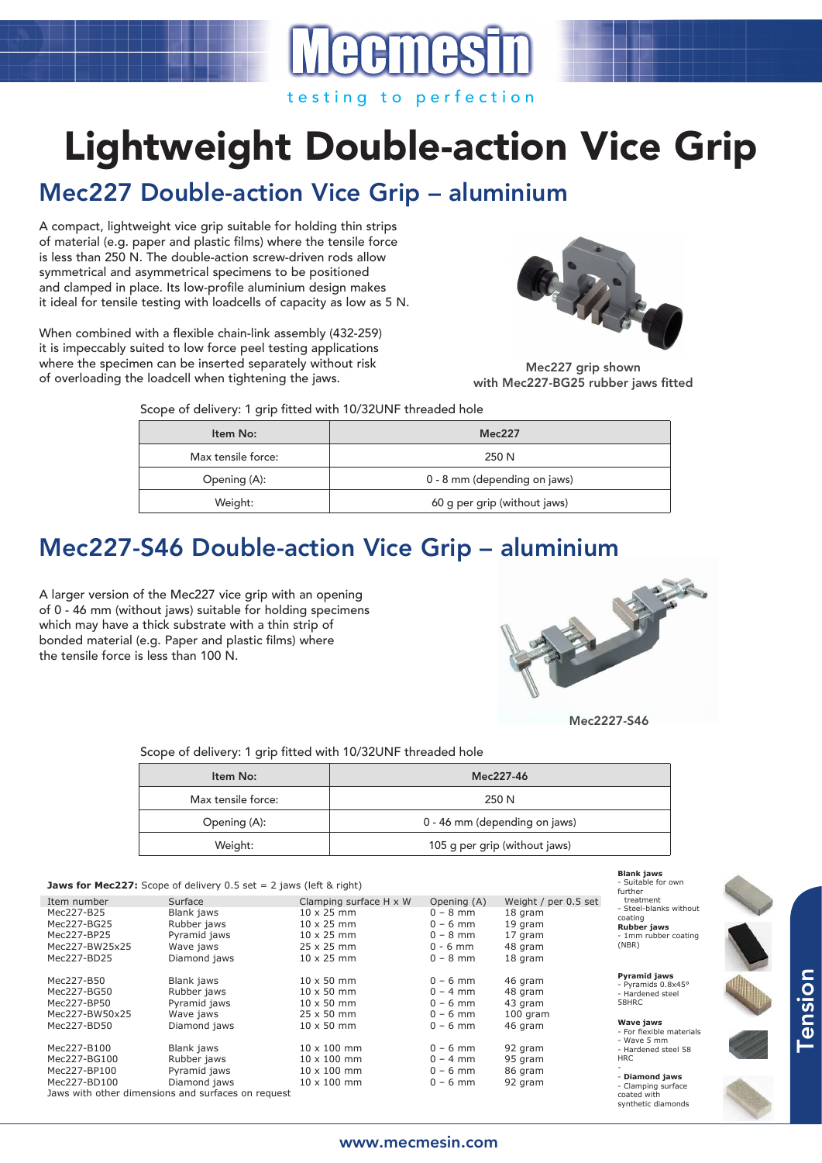# Lightweight Double-action Vice Grip

# Mec227 Double-action Vice Grip – aluminium

A compact, lightweight vice grip suitable for holding thin strips of material (e.g. paper and plastic films) where the tensile force is less than 250 N. The double-action screw-driven rods allow symmetrical and asymmetrical specimens to be positioned and clamped in place. Its low-profile aluminium design makes it ideal for tensile testing with loadcells of capacity as low as 5 N.

When combined with a flexible chain-link assembly (432-259) it is impeccably suited to low force peel testing applications where the specimen can be inserted separately without risk of overloading the loadcell when tightening the jaws.



Mec227 grip shown with Mec227-BG25 rubber jaws fitted

Scope of delivery: 1 grip fitted with 10/32UNF threaded hole

| Item No:           | Mec227                       |  |
|--------------------|------------------------------|--|
| Max tensile force: | 250 N                        |  |
| Opening (A):       | 0 - 8 mm (depending on jaws) |  |
| Weight:            | 60 g per grip (without jaws) |  |

## Mec227-S46 Double-action Vice Grip – aluminium

A larger version of the Mec227 vice grip with an opening of 0 - 46 mm (without jaws) suitable for holding specimens which may have a thick substrate with a thin strip of bonded material (e.g. Paper and plastic films) where the tensile force is less than 100 N.



Mec2227-S46

**Blank jaws**  - Suitable for own

synthetic diamonds

Scope of delivery: 1 grip fitted with 10/32UNF threaded hole

| Item No:           | Mec227-46                     |  |
|--------------------|-------------------------------|--|
| Max tensile force: | 250 N                         |  |
| Opening (A):       | 0 - 46 mm (depending on jaws) |  |
| Weight:            | 105 g per grip (without jaws) |  |

#### **Jaws for Mec227:** Scope of delivery 0.5 set = 2 jaws (left & right)

|                |                                                    |                        |             |                      | further                                                     |
|----------------|----------------------------------------------------|------------------------|-------------|----------------------|-------------------------------------------------------------|
| Item number    | Surface                                            | Clamping surface H x W | Opening (A) | Weight / per 0.5 set | treatment                                                   |
| Mec227-B25     | Blank jaws                                         | $10 \times 25$ mm      | $0 - 8$ mm  | 18 gram              | - Steel-blanks without<br>coating                           |
| Mec227-BG25    | Rubber jaws                                        | $10 \times 25$ mm      | $0 - 6$ mm  | 19 gram              | Rubber jaws<br>- 1mm rubber coating<br>(NBR)                |
| Mec227-BP25    | Pyramid jaws                                       | $10 \times 25$ mm      | $0 - 8$ mm  | 17 gram              |                                                             |
| Mec227-BW25x25 | Wave jaws                                          | $25 \times 25$ mm      | $0 - 6$ mm  | 48 gram              |                                                             |
| Mec227-BD25    | Diamond jaws                                       | $10 \times 25$ mm      | $0 - 8$ mm  | 18 gram              |                                                             |
| Mec227-B50     | Blank jaws                                         | $10 \times 50$ mm      | $0 - 6$ mm  | 46 gram              | <b>Pyramid jaws</b>                                         |
| Mec227-BG50    | Rubber jaws                                        | $10 \times 50$ mm      | $0 - 4$ mm  | 48 gram              | - Pyramids 0.8x45°<br>- Hardened steel                      |
| Mec227-BP50    | Pyramid jaws                                       | $10 \times 50$ mm      | $0 - 6$ mm  | 43 gram              | 58HRC                                                       |
| Mec227-BW50x25 | Wave jaws                                          | $25 \times 50$ mm      | $0 - 6$ mm  | $100$ gram           |                                                             |
| Mec227-BD50    | Diamond jaws                                       | $10 \times 50$ mm      | $0 - 6$ mm  | 46 gram              | <b>Wave jaws</b><br>- For flexible materials<br>- Wave 5 mm |
| Mec227-B100    | Blank jaws                                         | $10 \times 100$ mm     | $0 - 6$ mm  | 92 gram              | - Hardened steel 58                                         |
| Mec227-BG100   | Rubber jaws                                        | $10 \times 100$ mm     | $0 - 4$ mm  | 95 gram              | <b>HRC</b>                                                  |
| Mec227-BP100   | Pyramid jaws                                       | $10 \times 100$ mm     | $0 - 6$ mm  | 86 gram              |                                                             |
| Mec227-BD100   | Diamond jaws                                       | $10 \times 100$ mm     | $0 - 6$ mm  | 92 gram              | - Diamond jaws<br>- Clamping surface                        |
|                | Jaws with other dimensions and surfaces on request |                        |             |                      | coated with                                                 |



Tension

### www.mecmesin.com